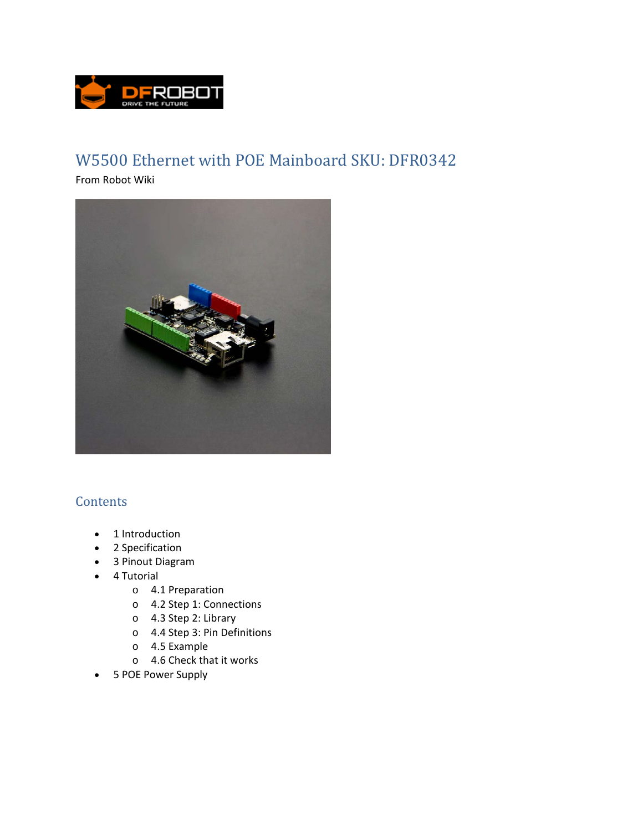

## W5500 Ethernet with POE Mainboard SKU: DFR0342

From Robot Wiki



## **Contents**

- 1 Introduction
- 2 Specification
- 3 Pinout Diagram
- 4 Tutorial
	- o 4.1 Preparation
	- o 4.2 Step 1: Connections
	- o 4.3 Step 2: Library
	- o 4.4 Step 3: Pin Definitions
	- o 4.5 Example
	- o 4.6 Check that it works
- 5 POE Power Supply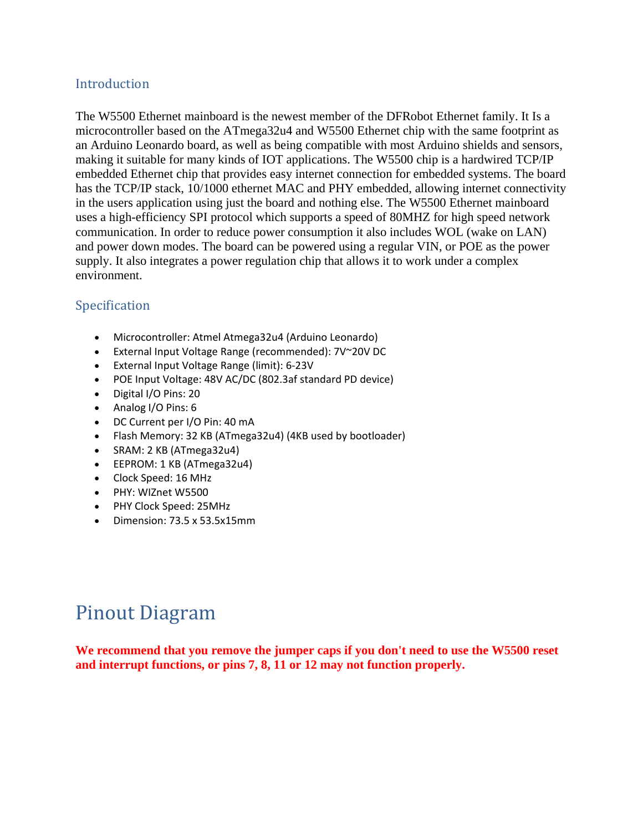## Introduction

The W5500 Ethernet mainboard is the newest member of the DFRobot Ethernet family. It Is a microcontroller based on the ATmega32u4 and W5500 Ethernet chip with the same footprint as an Arduino Leonardo board, as well as being compatible with most Arduino shields and sensors, making it suitable for many kinds of IOT applications. The W5500 chip is a hardwired TCP/IP embedded Ethernet chip that provides easy internet connection for embedded systems. The board has the TCP/IP stack, 10/1000 ethernet MAC and PHY embedded, allowing internet connectivity in the users application using just the board and nothing else. The W5500 Ethernet mainboard uses a high-efficiency SPI protocol which supports a speed of 80MHZ for high speed network communication. In order to reduce power consumption it also includes WOL (wake on LAN) and power down modes. The board can be powered using a regular VIN, or POE as the power supply. It also integrates a power regulation chip that allows it to work under a complex environment.

## Specification

- Microcontroller: Atmel Atmega32u4 (Arduino Leonardo)
- External Input Voltage Range (recommended): 7V~20V DC
- External Input Voltage Range (limit): 6‐23V
- POE Input Voltage: 48V AC/DC (802.3af standard PD device)
- Digital I/O Pins: 20
- Analog I/O Pins: 6
- DC Current per I/O Pin: 40 mA
- Flash Memory: 32 KB (ATmega32u4) (4KB used by bootloader)
- SRAM: 2 KB (ATmega32u4)
- EEPROM: 1 KB (ATmega32u4)
- Clock Speed: 16 MHz
- PHY: WIZnet W5500
- PHY Clock Speed: 25MHz
- Dimension: 73.5 x 53.5x15mm

# **Pinout Diagram**

**We recommend that you remove the jumper caps if you don't need to use the W5500 reset and interrupt functions, or pins 7, 8, 11 or 12 may not function properly.**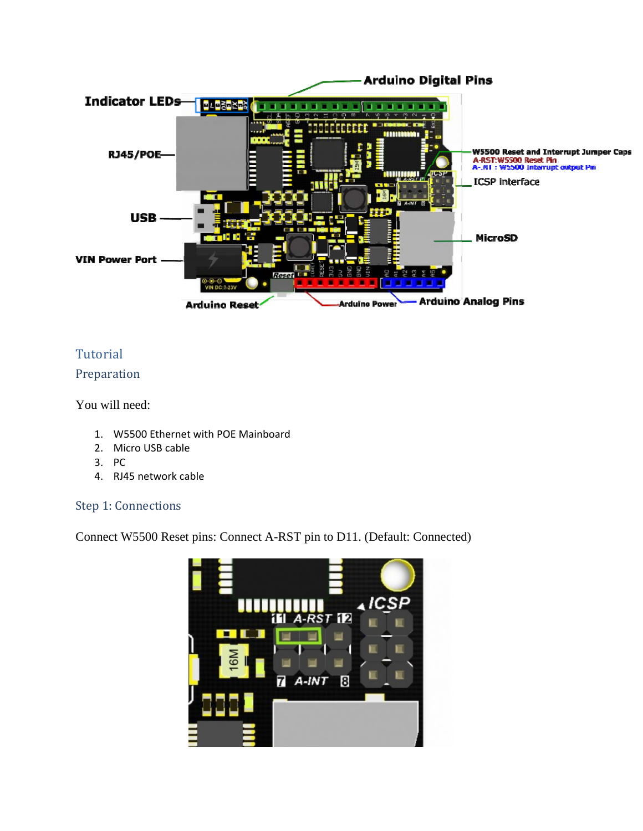

## Tutorial

#### Preparation

You will need:

- 1. W5500 Ethernet with POE Mainboard
- 2. Micro USB cable
- 3. PC
- 4. RJ45 network cable

## Step 1: Connections

Connect W5500 Reset pins: Connect A-RST pin to D11. (Default: Connected)

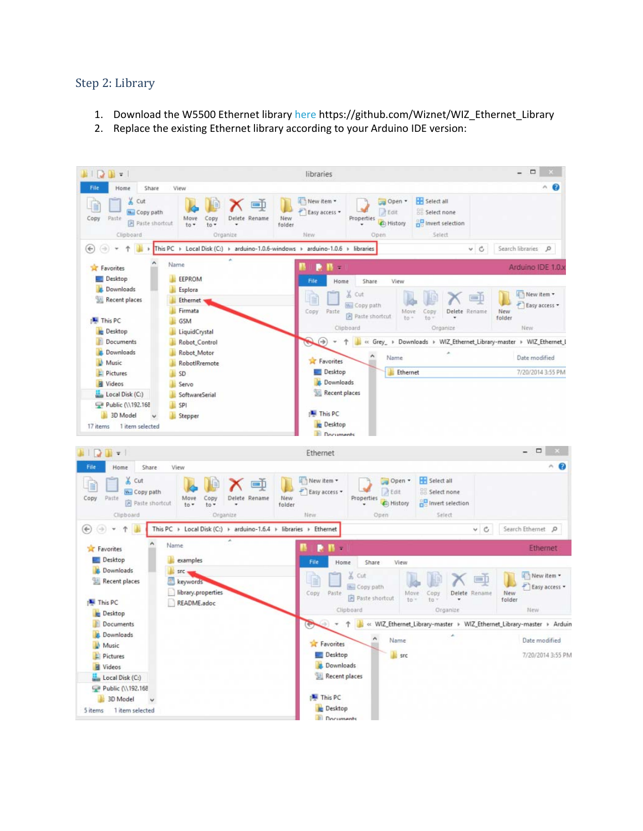#### Step 2: Library

- 1. Download the W5500 Ethernet library here https://github.com/Wiznet/WIZ\_Ethernet\_Library
- 2. Replace the existing Ethernet library according to your Arduino IDE version:

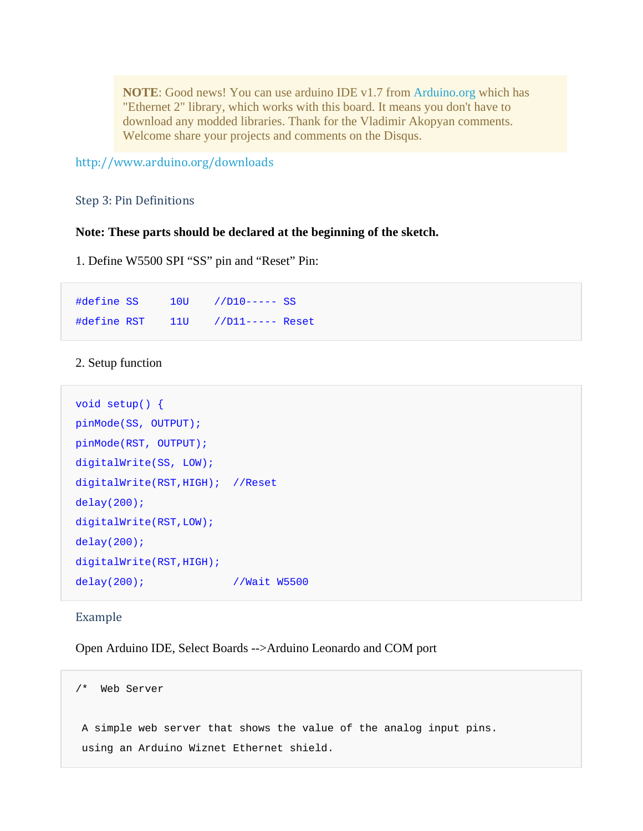**NOTE**: Good news! You can use arduino IDE v1.7 from Arduino.org which has "Ethernet 2" library, which works with this board. It means you don't have to download any modded libraries. Thank for the Vladimir Akopyan comments. Welcome share your projects and comments on the Disqus.

http://www.arduino.org/downloads 

Step 3: Pin Definitions

#### **Note: These parts should be declared at the beginning of the sketch.**

1. Define W5500 SPI "SS" pin and "Reset" Pin:

#define SS 10U //D10----- SS #define RST 11U //D11----- Reset

#### 2. Setup function

```
void setup() { 
pinMode(SS, OUTPUT); 
pinMode(RST, OUTPUT); 
digitalWrite(SS, LOW); 
digitalWrite(RST,HIGH); //Reset 
delay(200); 
digitalWrite(RST,LOW); 
delay(200); 
digitalWrite(RST,HIGH); 
delay(200); //Wait W5500
```
#### Example

Open Arduino IDE, Select Boards -->Arduino Leonardo and COM port

```
/* Web Server 
 A simple web server that shows the value of the analog input pins. 
 using an Arduino Wiznet Ethernet shield.
```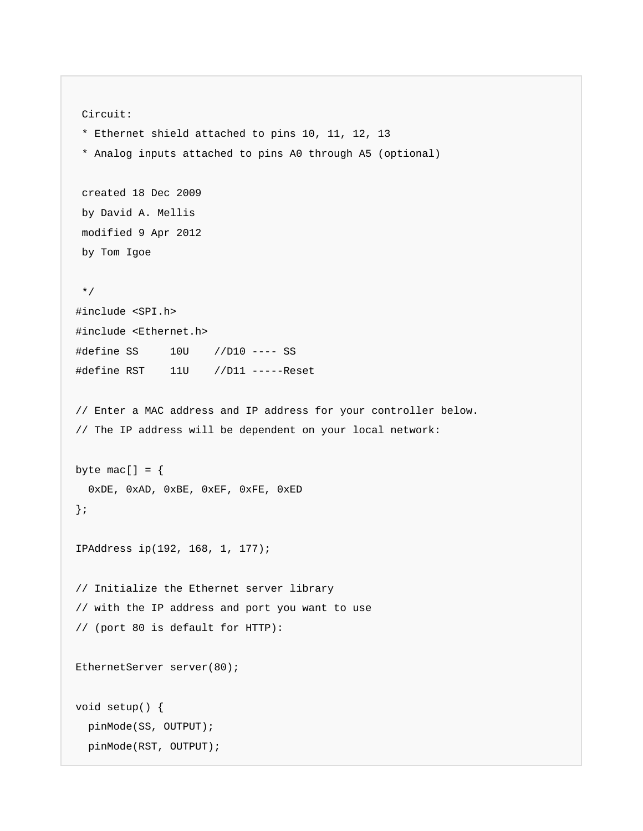```
 Circuit: 
  * Ethernet shield attached to pins 10, 11, 12, 13 
  * Analog inputs attached to pins A0 through A5 (optional) 
 created 18 Dec 2009 
 by David A. Mellis 
 modified 9 Apr 2012 
 by Tom Igoe 
  */ 
#include <SPI.h> 
#include <Ethernet.h> 
#define SS 10U //D10 ---- SS 
#define RST 11U //D11 -----Reset 
// Enter a MAC address and IP address for your controller below. 
// The IP address will be dependent on your local network: 
byte mac[] = { 0xDE, 0xAD, 0xBE, 0xEF, 0xFE, 0xED 
}; 
IPAddress ip(192, 168, 1, 177); 
// Initialize the Ethernet server library 
// with the IP address and port you want to use 
// (port 80 is default for HTTP): 
EthernetServer server(80);
void setup() { 
   pinMode(SS, OUTPUT); 
   pinMode(RST, OUTPUT);
```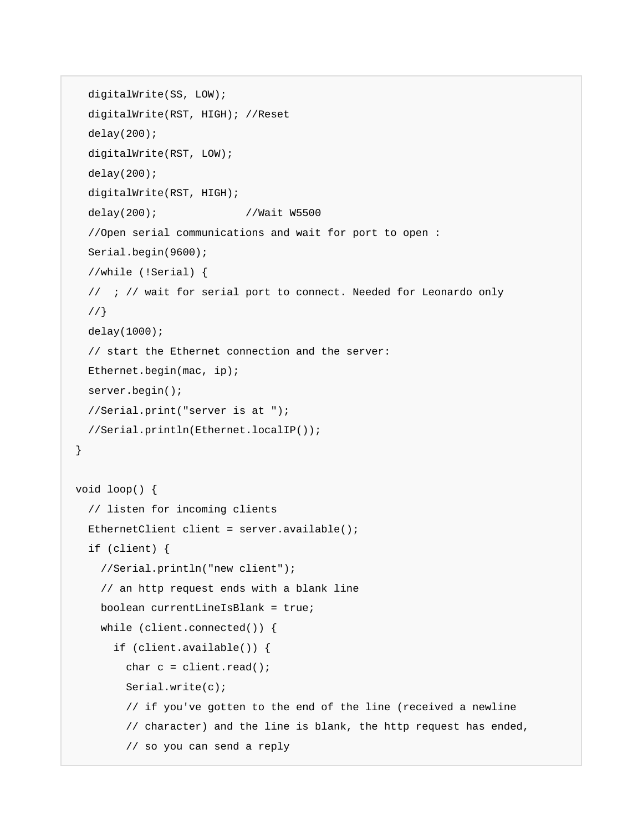```
 digitalWrite(SS, LOW); 
   digitalWrite(RST, HIGH); //Reset 
  delay(200); digitalWrite(RST, LOW); 
   delay(200); 
   digitalWrite(RST, HIGH); 
   delay(200); //Wait W5500 
   //Open serial communications and wait for port to open : 
   Serial.begin(9600); 
   //while (!Serial) { 
   // ; // wait for serial port to connect. Needed for Leonardo only 
   //} 
   delay(1000); 
   // start the Ethernet connection and the server: 
   Ethernet.begin(mac, ip); 
   server.begin(); 
  //Serial.print("server is at "); 
   //Serial.println(Ethernet.localIP()); 
} 
void loop() { 
   // listen for incoming clients 
   EthernetClient client = server.available(); 
   if (client) { 
     //Serial.println("new client"); 
     // an http request ends with a blank line 
     boolean currentLineIsBlank = true; 
     while (client.connected()) { 
       if (client.available()) { 
        char c = client.read();
         Serial.write(c); 
         // if you've gotten to the end of the line (received a newline 
         // character) and the line is blank, the http request has ended, 
         // so you can send a reply
```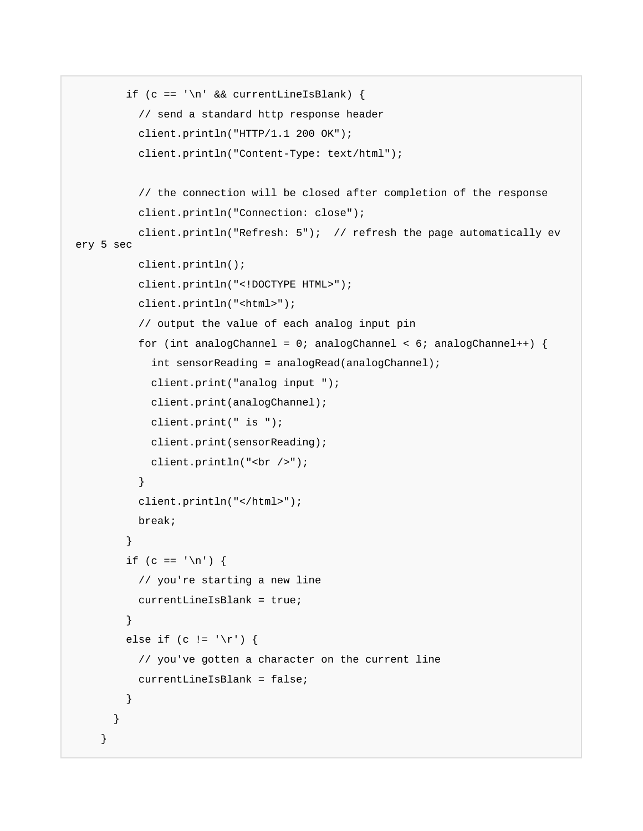```
if (c == ' \n' & currentLineIsBlank) // send a standard http response header 
           client.println("HTTP/1.1 200 OK"); 
           client.println("Content-Type: text/html"); 
           // the connection will be closed after completion of the response 
           client.println("Connection: close"); 
           client.println("Refresh: 5"); // refresh the page automatically ev
ery 5 sec 
           client.println(); 
           client.println("<!DOCTYPE HTML>"); 
           client.println("<html>"); 
           // output the value of each analog input pin 
          for (int analogChannel = 0; analogChannel < 6; analogChannel++) {
             int sensorReading = analogRead(analogChannel); 
             client.print("analog input "); 
             client.print(analogChannel); 
             client.print(" is "); 
             client.print(sensorReading); 
             client.println("<br />"); 
 } 
           client.println("</html>"); 
           break; 
 } 
        if (c == '\n\lambda) {
           // you're starting a new line 
           currentLineIsBlank = true; 
 } 
        else if (c != '\r') {
           // you've gotten a character on the current line 
           currentLineIsBlank = false; 
         } 
       } 
     }
```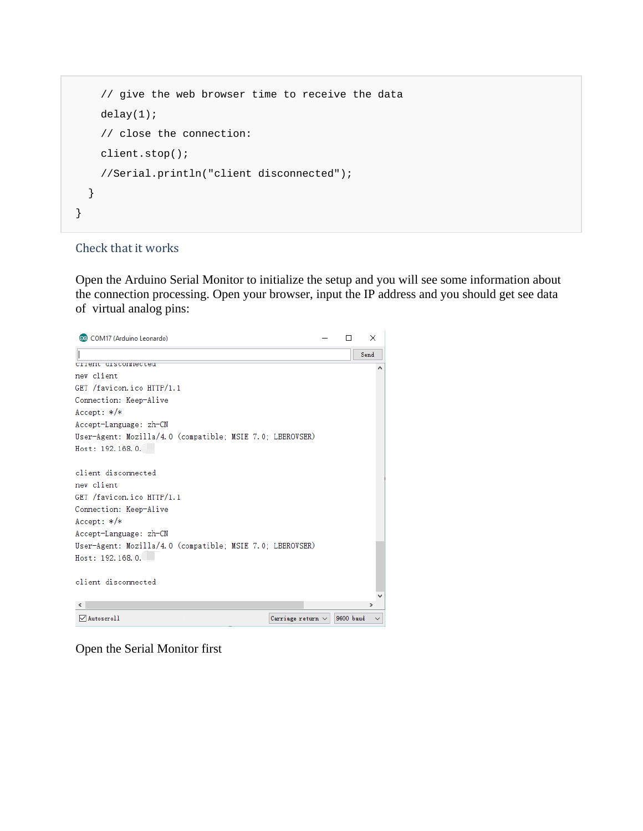```
 // give the web browser time to receive the data 
     delay(1); 
     // close the connection: 
     client.stop(); 
     //Serial.println("client disconnected"); 
   } 
}
```
#### Check that it works

Open the Arduino Serial Monitor to initialize the setup and you will see some information about the connection processing. Open your browser, input the IP address and you should get see data of virtual analog pins:



Open the Serial Monitor first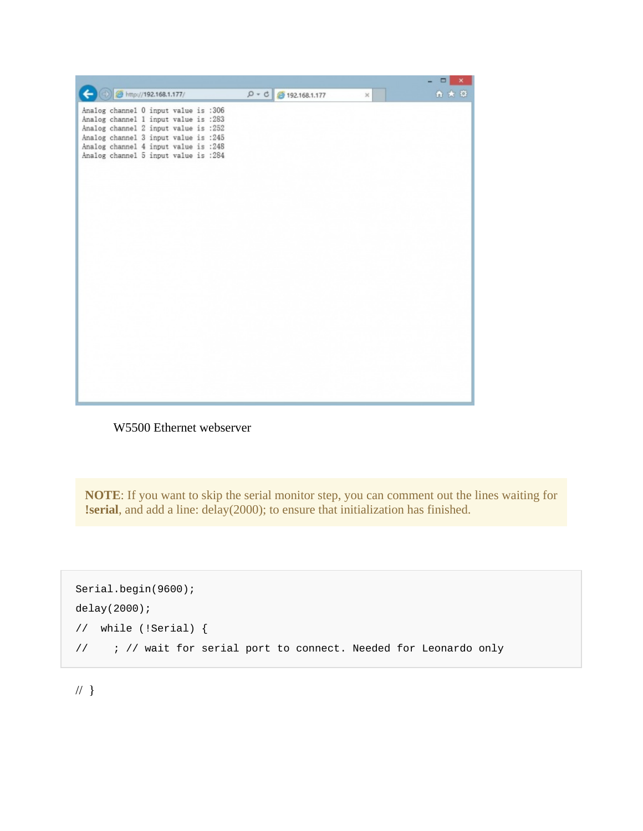W5500 Ethernet webserver

**NOTE**: If you want to skip the serial monitor step, you can comment out the lines waiting for **!serial**, and add a line: delay(2000); to ensure that initialization has finished.

```
Serial.begin(9600); 
delay(2000); 
// while (!Serial) { 
// ; // wait for serial port to connect. Needed for Leonardo only
```
// }